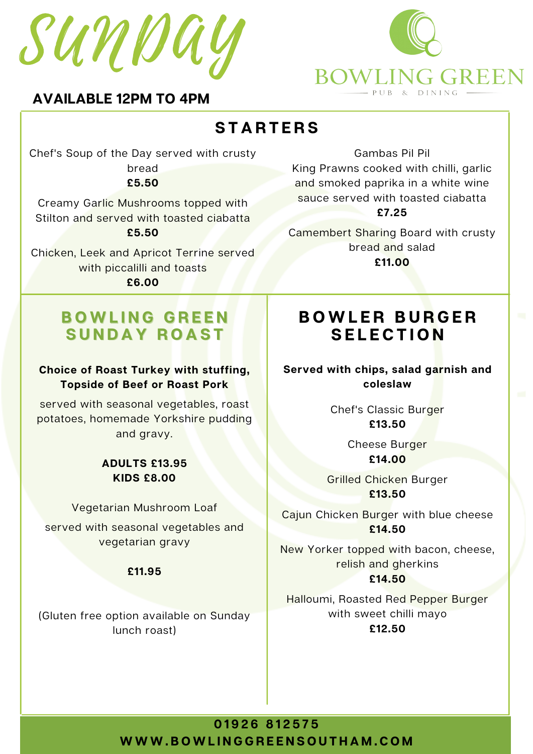



### **AVAILABLE 12PM TO 4PM**

# **S T A R T E R S**

Chef's Soup of the Day served with crusty bread

**£5.50**

Creamy Garlic Mushrooms topped with Stilton and served with toasted ciabatta **£5.50**

Chicken, Leek and Apricot Terrine served with piccalilli and toasts **£6.00**

## **B O W L I N G G R E E N S U N D A Y R O A S T**

#### **Choice of Roast Turkey with stuffing, Topside of Beef or Roast Pork**

served with seasonal vegetables, roast potatoes, homemade Yorkshire pudding and gravy.

#### **ADULTS £13.95 KIDS £8.00**

Vegetarian Mushroom Loaf

served with seasonal vegetables and vegetarian gravy

#### **£11.95**

(Gluten free option available on Sunday lunch roast)

Gambas Pil Pil

King Prawns cooked with chilli, garlic and smoked paprika in a white wine sauce served with toasted ciabatta **£7.25**

Camembert Sharing Board with crusty bread and salad **£11.00**

# **B O W L E R B U R G E R S E L E C T I O N**

**Served with chips, salad garnish and coleslaw**

> Chef's Classic Burger **£13.50**

> > Cheese Burger **£14.00**

Grilled Chicken Burger **£13.50**

Cajun Chicken Burger with blue cheese **£14.50**

New Yorker topped with bacon, cheese, relish and gherkins **£14.50**

Halloumi, Roasted Red Pepper Burger with sweet chilli mayo **£12.50**

**0 1 9 2 6 8 1 2 5 7 5** WWW.BOWLINGGREENSOUTHAM.COM